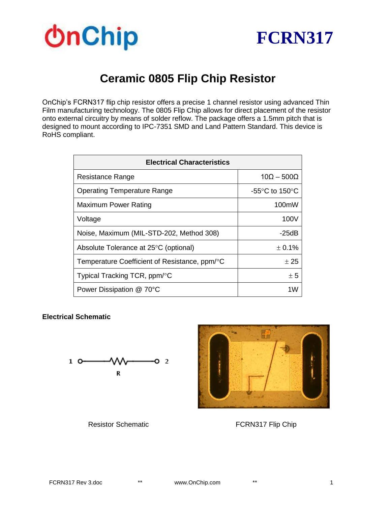



## **Ceramic 0805 Flip Chip Resistor**

OnChip's FCRN317 flip chip resistor offers a precise 1 channel resistor using advanced Thin Film manufacturing technology. The 0805 Flip Chip allows for direct placement of the resistor onto external circuitry by means of solder reflow. The package offers a 1.5mm pitch that is designed to mount according to IPC-7351 SMD and Land Pattern Standard. This device is RoHS compliant.

| <b>Electrical Characteristics</b>             |                                                      |  |
|-----------------------------------------------|------------------------------------------------------|--|
| Resistance Range                              | $10\Omega - 500\Omega$                               |  |
| <b>Operating Temperature Range</b>            | -55 $\mathrm{^{\circ}C}$ to 150 $\mathrm{^{\circ}C}$ |  |
| Maximum Power Rating                          | 100mW                                                |  |
| Voltage                                       | 100V                                                 |  |
| Noise, Maximum (MIL-STD-202, Method 308)      | -25dB                                                |  |
| Absolute Tolerance at 25°C (optional)         | ± 0.1%                                               |  |
| Temperature Coefficient of Resistance, ppm/°C | ± 25                                                 |  |
| Typical Tracking TCR, ppm/°C                  | ± 5                                                  |  |
| Power Dissipation @ 70°C                      | 1W                                                   |  |

#### **Electrical Schematic**





Resistor Schematic **FCRN317 Flip Chip**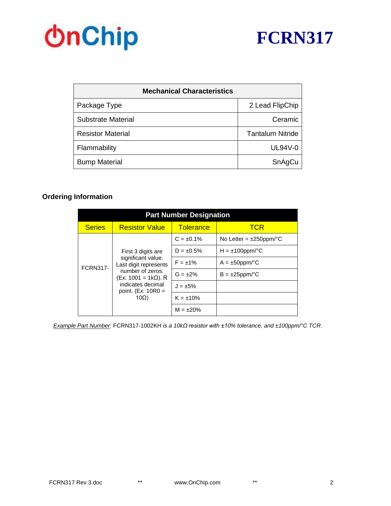# **OnChip**



| <b>Mechanical Characteristics</b> |                         |  |
|-----------------------------------|-------------------------|--|
| Package Type                      | 2 Lead FlipChip         |  |
| <b>Substrate Material</b>         | Ceramic                 |  |
| <b>Resistor Material</b>          | <b>Tantalum Nitride</b> |  |
| Flammability                      | <b>UL94V-0</b>          |  |
| <b>Bump Material</b>              | SnAgCu                  |  |

### **Ordering Information**

| <b>Part Number Designation</b>                                                                                                                                                             |                       |                     |                              |  |
|--------------------------------------------------------------------------------------------------------------------------------------------------------------------------------------------|-----------------------|---------------------|------------------------------|--|
| <b>Series</b>                                                                                                                                                                              | <b>Resistor Value</b> | <b>Tolerance</b>    | <b>TCR</b>                   |  |
| First 3 digits are<br>significant value.<br>Last digit represents<br><b>FCRN317-</b><br>number of zeros.<br>(Ex: 1001 = 1kΩ). R<br>indicates decimal<br>point. $(EX: 10R0 =$<br>$10\Omega$ |                       | $C = \pm 0.1\%$     | No Letter = $\pm 250$ ppm/°C |  |
|                                                                                                                                                                                            |                       | $D = \pm 0.5\%$     | $H = \pm 100$ ppm/°C         |  |
|                                                                                                                                                                                            | $F = \pm 1\%$         | $A = \pm 50$ ppm/°C |                              |  |
|                                                                                                                                                                                            |                       | $G = \pm 2\%$       | $B = \pm 25$ ppm/°C          |  |
|                                                                                                                                                                                            |                       | $J = \pm 5\%$       |                              |  |
|                                                                                                                                                                                            |                       | $K = \pm 10\%$      |                              |  |
|                                                                                                                                                                                            |                       | $M = \pm 20\%$      |                              |  |

*Example Part Number:* FCRN317-1002KH *is a 10kΩ resistor with ±10% tolerance, and ±100ppm/°C TCR.*